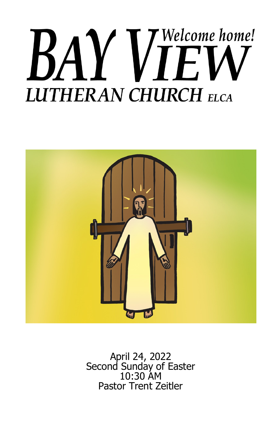# Welcome home! BA  $\sqrt{L}$ **LUTHERAN CHURCH ELCA**



April 24, 2022 Second Sunday of Easter 10:30 AM Pastor Trent Zeitler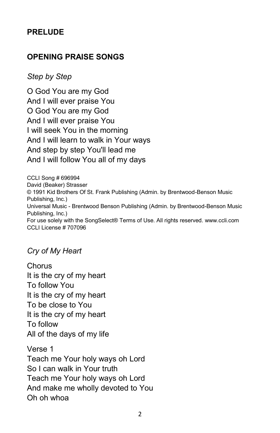#### **PRELUDE**

#### **OPENING PRAISE SONGS**

#### *Step by Step*

O God You are my God And I will ever praise You O God You are my God And I will ever praise You I will seek You in the morning And I will learn to walk in Your ways And step by step You'll lead me And I will follow You all of my days

CCLI Song # 696994 David (Beaker) Strasser © 1991 Kid Brothers Of St. Frank Publishing (Admin. by Brentwood-Benson Music Publishing, Inc.) Universal Music - Brentwood Benson Publishing (Admin. by Brentwood-Benson Music Publishing, Inc.) For use solely with the SongSelect® Terms of Use. All rights reserved. www.ccli.com CCLI License # 707096

#### *Cry of My Heart*

**Chorus** It is the cry of my heart To follow You It is the cry of my heart To be close to You It is the cry of my heart To follow All of the days of my life Verse 1 Teach me Your holy ways oh Lord So I can walk in Your truth Teach me Your holy ways oh Lord And make me wholly devoted to You Oh oh whoa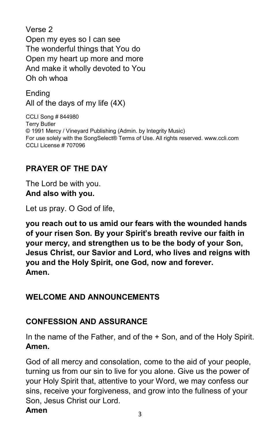Verse 2 Open my eyes so I can see The wonderful things that You do Open my heart up more and more And make it wholly devoted to You Oh oh whoa

Ending All of the days of my life (4X)

CCLI Song # 844980 Terry Butler © 1991 Mercy / Vineyard Publishing (Admin. by Integrity Music) For use solely with the SongSelect® Terms of Use. All rights reserved. www.ccli.com CCLI License # 707096

# **PRAYER OF THE DAY**

The Lord be with you. **And also with you.**

Let us pray. O God of life,

**you reach out to us amid our fears with the wounded hands of your risen Son. By your Spirit's breath revive our faith in your mercy, and strengthen us to be the body of your Son, Jesus Christ, our Savior and Lord, who lives and reigns with you and the Holy Spirit, one God, now and forever. Amen.**

# **WELCOME AND ANNOUNCEMENTS**

# **CONFESSION AND ASSURANCE**

In the name of the Father, and of the + Son, and of the Holy Spirit. **Amen.**

God of all mercy and consolation, come to the aid of your people, turning us from our sin to live for you alone. Give us the power of your Holy Spirit that, attentive to your Word, we may confess our sins, receive your forgiveness, and grow into the fullness of your Son, Jesus Christ our Lord.

#### **Amen**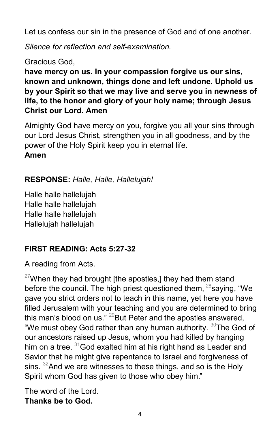Let us confess our sin in the presence of God and of one another.

*Silence for reflection and self-examination.*

## Gracious God,

**have mercy on us. In your compassion forgive us our sins, known and unknown, things done and left undone. Uphold us by your Spirit so that we may live and serve you in newness of life, to the honor and glory of your holy name; through Jesus Christ our Lord. Amen**

Almighty God have mercy on you, forgive you all your sins through our Lord Jesus Christ, strengthen you in all goodness, and by the power of the Holy Spirit keep you in eternal life. **Amen**

#### **RESPONSE:** *Halle, Halle, Hallelujah!*

Halle halle hallelujah Halle halle hallelujah Halle halle hallelujah Hallelujah hallelujah

# **FIRST READING: Acts 5:27-32**

A reading from Acts.

 $27$ When they had brought [the apostles,] they had them stand before the council. The high priest questioned them,  $^{28}$ saying, "We gave you strict orders not to teach in this name, yet here you have filled Jerusalem with your teaching and you are determined to bring this man's blood on us."  $^{29}$ But Peter and the apostles answered, "We must obey God rather than any human authority.  $30T$ he God of our ancestors raised up Jesus, whom you had killed by hanging him on a tree. <sup>31</sup>God exalted him at his right hand as Leader and Savior that he might give repentance to Israel and forgiveness of sins.  $32$ And we are witnesses to these things, and so is the Holy Spirit whom God has given to those who obey him."

The word of the Lord. **Thanks be to God.**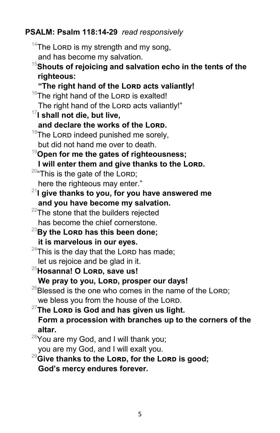# **PSALM: Psalm 118:14-29** *read responsively*

 $14$ The Lord is my strength and my song, and has become my salvation.

<sup>15</sup>**Shouts of rejoicing and salvation echo in the tents of the righteous:**

 **"The right hand of the Lord acts valiantly!**  $16$ The right hand of the LORD is exalted! The right hand of the LORD acts valiantly!" <sup>17</sup>**I shall not die, but live, and declare the works of the Lord.**  $18$ The Lord indeed punished me sorely, but did not hand me over to death. <sup>19</sup>**Open for me the gates of righteousness; I will enter them and give thanks to the Lord.**  $^{20}$ "This is the gate of the Lor $D$ ; here the righteous may enter." <sup>21</sup>**I give thanks to you, for you have answered me and you have become my salvation.**  $22$ The stone that the builders rejected has become the chief cornerstone. <sup>23</sup>**By the Lord has this been done; it is marvelous in our eyes.**  $24$ This is the day that the Lorp has made; let us rejoice and be glad in it. <sup>25</sup>**Hosanna! O Lord, save us!** We pray to you, Lorp, prosper our days!  $^{26}$ Blessed is the one who comes in the name of the LORD; we bless you from the house of the LORD.

<sup>27</sup>The Lorp is God and has given us light. **Form a procession with branches up to the corners of the altar.**

 $28$ You are my God, and I will thank you; you are my God, and I will exalt you.

<sup>29</sup>**Give thanks to the Lord, for the Lord is good; God's mercy endures forever.**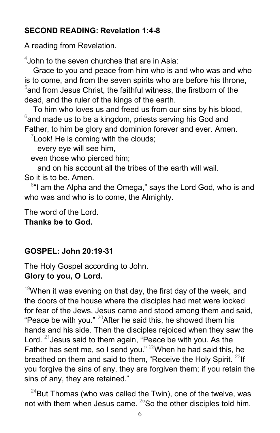## **SECOND READING: Revelation 1:4-8**

A reading from Revelation.

 $^4$ John to the seven churches that are in Asia:

Grace to you and peace from him who is and who was and who is to come, and from the seven spirits who are before his throne,  $5$ and from Jesus Christ, the faithful witness, the firstborn of the dead, and the ruler of the kings of the earth.

To him who loves us and freed us from our sins by his blood,  $^6$ and made us to be a kingdom, priests serving his God and Father, to him be glory and dominion forever and ever. Amen.

 $7$ Look! He is coming with the clouds;

every eye will see him,

even those who pierced him;

and on his account all the tribes of the earth will wail.

So it is to be. Amen.

 $8$ "I am the Alpha and the Omega," says the Lord God, who is and who was and who is to come, the Almighty.

The word of the Lord. **Thanks be to God.**

# **GOSPEL: John 20:19-31**

The Holy Gospel according to John. **Glory to you, O Lord.**

 $19$ When it was evening on that day, the first day of the week, and the doors of the house where the disciples had met were locked for fear of the Jews, Jesus came and stood among them and said, "Peace be with you."  $^{20}$ After he said this, he showed them his hands and his side. Then the disciples rejoiced when they saw the Lord. <sup>21</sup> Jesus said to them again, "Peace be with you. As the Father has sent me, so I send you."  $22$ When he had said this, he breathed on them and said to them, "Receive the Holy Spirit. <sup>23</sup>If you forgive the sins of any, they are forgiven them; if you retain the sins of any, they are retained."

 $24$ But Thomas (who was called the Twin), one of the twelve, was not with them when Jesus came.  $^{25}$ So the other disciples told him,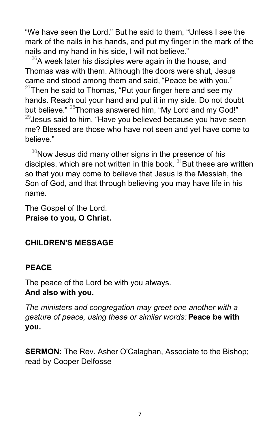"We have seen the Lord." But he said to them, "Unless I see the mark of the nails in his hands, and put my finger in the mark of the nails and my hand in his side, I will not believe."

 $^{26}$ A week later his disciples were again in the house, and Thomas was with them. Although the doors were shut, Jesus came and stood among them and said, "Peace be with you."  $27$ Then he said to Thomas, "Put your finger here and see my hands. Reach out your hand and put it in my side. Do not doubt but believe." <sup>28</sup>Thomas answered him, "My Lord and my God!"  $^{29}$ Jesus said to him, "Have you believed because you have seen me? Blessed are those who have not seen and yet have come to believe."

 $30$ Now Jesus did many other signs in the presence of his disciples, which are not written in this book.  $31$ But these are written so that you may come to believe that Jesus is the Messiah, the Son of God, and that through believing you may have life in his name.

The Gospel of the Lord. **Praise to you, O Christ.**

# **CHILDREN'S MESSAGE**

#### **PEACE**

The peace of the Lord be with you always. **And also with you.**

*The ministers and congregation may greet one another with a gesture of peace, using these or similar words:* **Peace be with you.**

**SERMON:** The Rev. Asher O'Calaghan, Associate to the Bishop; read by Cooper Delfosse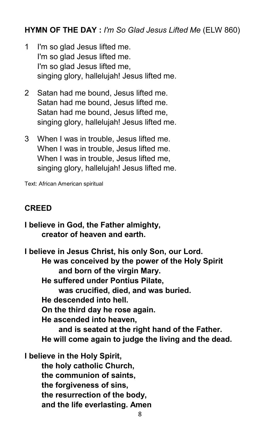#### **HYMN OF THE DAY :** *I'm So Glad Jesus Lifted Me* (ELW 860)

- 1 I'm so glad Jesus lifted me. I'm so glad Jesus lifted me. I'm so glad Jesus lifted me. singing glory, hallelujah! Jesus lifted me.
- 2 Satan had me bound, Jesus lifted me. Satan had me bound, Jesus lifted me. Satan had me bound, Jesus lifted me, singing glory, hallelujah! Jesus lifted me.
- 3 When I was in trouble, Jesus lifted me. When I was in trouble, Jesus lifted me. When I was in trouble, Jesus lifted me, singing glory, hallelujah! Jesus lifted me.

Text: African American spiritual

#### **CREED**

**I believe in God, the Father almighty, creator of heaven and earth.**

**I believe in Jesus Christ, his only Son, our Lord. He was conceived by the power of the Holy Spirit and born of the virgin Mary. He suffered under Pontius Pilate, was crucified, died, and was buried. He descended into hell. On the third day he rose again. He ascended into heaven, and is seated at the right hand of the Father. He will come again to judge the living and the dead. I believe in the Holy Spirit, the holy catholic Church, the communion of saints,**

**the forgiveness of sins,**

**the resurrection of the body,**

**and the life everlasting. Amen**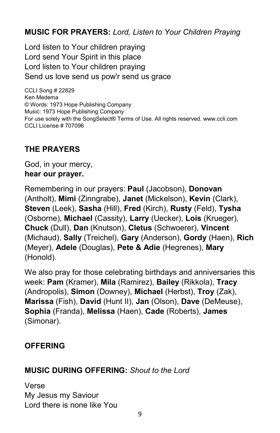# **MUSIC FOR PRAYERS:** *Lord, Listen to Your Children Praying*

Lord listen to Your children praying Lord send Your Spirit in this place Lord listen to Your children praying Send us love send us pow'r send us grace

CCLI Song # 22829 Ken Medema © Words: 1973 Hope Publishing Company Music: 1973 Hope Publishing Company For use solely with the SongSelect® Terms of Use. All rights reserved. www.ccli.com CCLI License # 707096

# **THE PRAYERS**

God, in your mercy, **hear our prayer.**

Remembering in our prayers: **Paul** (Jacobson), **Donovan**  (Antholt), **Mimi** (Zinngrabe), **Janet** (Mickelson), **Kevin** (Clark), **Steven** (Leek), **Sasha** (Hill), **Fred** (Kirch), **Rusty** (Feld), **Tysha**  (Osborne), **Michael** (Cassity), **Larry** (Uecker), **Lois** (Krueger), **Chuck** (Dull), **Dan** (Knutson), **Cletus** (Schwoerer), **Vincent**  (Michaud), **Sally** (Treichel), **Gary** (Anderson), **Gordy** (Haen), **Rich**  (Meyer), **Adele** (Douglas), **Pete & Adie** (Hegrenes), **Mary**  (Honold).

We also pray for those celebrating birthdays and anniversaries this week: **Pam** (Kramer), **Mila** (Ramirez), **Bailey** (Rikkola), **Tracy** (Andropolis), **Simon** (Downey), **Michael** (Herbst), **Troy** (Zak), **Marissa** (Fish), **David** (Hunt II), **Jan** (Olson), **Dave** (DeMeuse), **Sophia** (Franda), **Melissa** (Haen), **Cade** (Roberts), **James**  (Simonar).

# **OFFERING**

# **MUSIC DURING OFFERING:** *Shout to the Lord*

Verse My Jesus my Saviour Lord there is none like You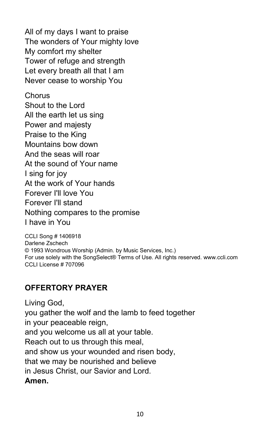All of my days I want to praise The wonders of Your mighty love My comfort my shelter Tower of refuge and strength Let every breath all that I am Never cease to worship You

**Chorus** 

Shout to the Lord All the earth let us sing Power and majesty Praise to the King Mountains bow down And the seas will roar At the sound of Your name I sing for joy At the work of Your hands Forever I'll love You Forever I'll stand Nothing compares to the promise I have in You

CCLI Song # 1406918 Darlene Zschech © 1993 Wondrous Worship (Admin. by Music Services, Inc.) For use solely with the SongSelect® Terms of Use. All rights reserved. www.ccli.com CCLI License # 707096

# **OFFERTORY PRAYER**

Living God, you gather the wolf and the lamb to feed together in your peaceable reign, and you welcome us all at your table. Reach out to us through this meal, and show us your wounded and risen body, that we may be nourished and believe in Jesus Christ, our Savior and Lord. **Amen.**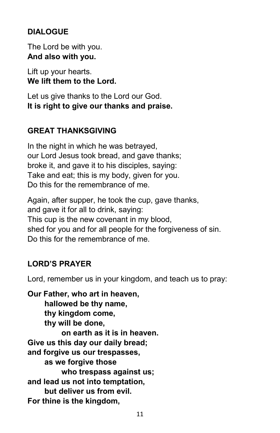# **DIALOGUE**

The Lord be with you. **And also with you.**

Lift up your hearts. **We lift them to the Lord.**

Let us give thanks to the Lord our God. **It is right to give our thanks and praise.**

# **GREAT THANKSGIVING**

In the night in which he was betrayed, our Lord Jesus took bread, and gave thanks; broke it, and gave it to his disciples, saying: Take and eat; this is my body, given for you. Do this for the remembrance of me.

Again, after supper, he took the cup, gave thanks, and gave it for all to drink, saying: This cup is the new covenant in my blood, shed for you and for all people for the forgiveness of sin. Do this for the remembrance of me.

# **LORD'S PRAYER**

Lord, remember us in your kingdom, and teach us to pray:

**Our Father, who art in heaven, hallowed be thy name, thy kingdom come, thy will be done, on earth as it is in heaven. Give us this day our daily bread; and forgive us our trespasses, as we forgive those who trespass against us; and lead us not into temptation, but deliver us from evil. For thine is the kingdom,**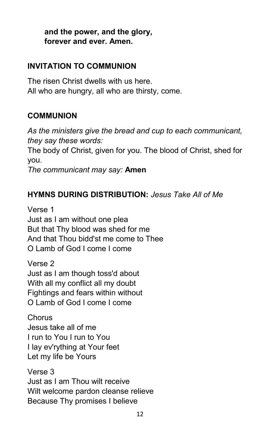**and the power, and the glory, forever and ever. Amen.**

#### **INVITATION TO COMMUNION**

The risen Christ dwells with us here. All who are hungry, all who are thirsty, come.

#### **COMMUNION**

*As the ministers give the bread and cup to each communicant, they say these words:*

The body of Christ, given for you. The blood of Christ, shed for you.

*The communicant may say:* **Amen**

#### **HYMNS DURING DISTRIBUTION:** *Jesus Take All of Me*

Verse 1 Just as I am without one plea But that Thy blood was shed for me And that Thou bidd'st me come to Thee O Lamb of God I come I come

Verse 2 Just as I am though toss'd about With all my conflict all my doubt Fightings and fears within without O Lamb of God I come I come

**Chorus** Jesus take all of me I run to You I run to You I lay ev'rything at Your feet Let my life be Yours

Verse 3 Just as I am Thou wilt receive Wilt welcome pardon cleanse relieve Because Thy promises I believe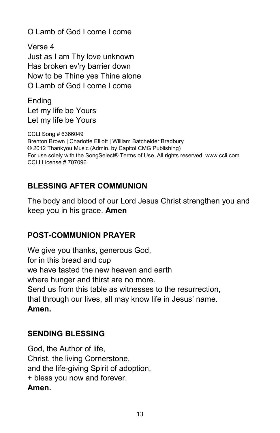O Lamb of God I come I come

Verse 4 Just as I am Thy love unknown Has broken ev'ry barrier down Now to be Thine yes Thine alone O Lamb of God I come I come

Ending Let my life be Yours Let my life be Yours

CCLI Song # 6366049 Brenton Brown | Charlotte Elliott | William Batchelder Bradbury © 2012 Thankyou Music (Admin. by Capitol CMG Publishing) For use solely with the SongSelect® Terms of Use. All rights reserved. www.ccli.com CCLI License # 707096

# **BLESSING AFTER COMMUNION**

The body and blood of our Lord Jesus Christ strengthen you and keep you in his grace. **Amen**

# **POST-COMMUNION PRAYER**

We give you thanks, generous God, for in this bread and cup we have tasted the new heaven and earth where hunger and thirst are no more. Send us from this table as witnesses to the resurrection, that through our lives, all may know life in Jesus' name. **Amen.**

# **SENDING BLESSING**

God, the Author of life, Christ, the living Cornerstone, and the life-giving Spirit of adoption, + bless you now and forever. **Amen.**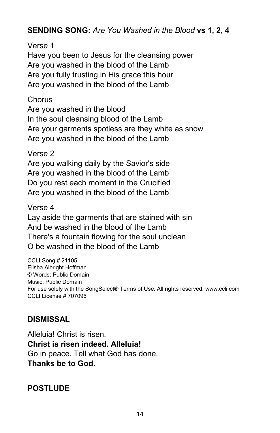# **SENDING SONG:** *Are You Washed in the Blood* **vs 1, 2, 4**

Verse 1

Have you been to Jesus for the cleansing power Are you washed in the blood of the Lamb Are you fully trusting in His grace this hour Are you washed in the blood of the Lamb

#### **Chorus**

Are you washed in the blood In the soul cleansing blood of the Lamb Are your garments spotless are they white as snow Are you washed in the blood of the Lamb

#### Verse 2

Are you walking daily by the Savior's side Are you washed in the blood of the Lamb Do you rest each moment in the Crucified Are you washed in the blood of the Lamb

#### Verse 4

Lay aside the garments that are stained with sin And be washed in the blood of the Lamb There's a fountain flowing for the soul unclean O be washed in the blood of the Lamb

CCLI Song # 21105 Elisha Albright Hoffman © Words: Public Domain Music: Public Domain For use solely with the SongSelect® Terms of Use. All rights reserved. www.ccli.com CCLI License # 707096

#### **DISMISSAL**

Alleluia! Christ is risen. **Christ is risen indeed. Alleluia!** Go in peace. Tell what God has done. **Thanks be to God.**

#### **POSTLUDE**